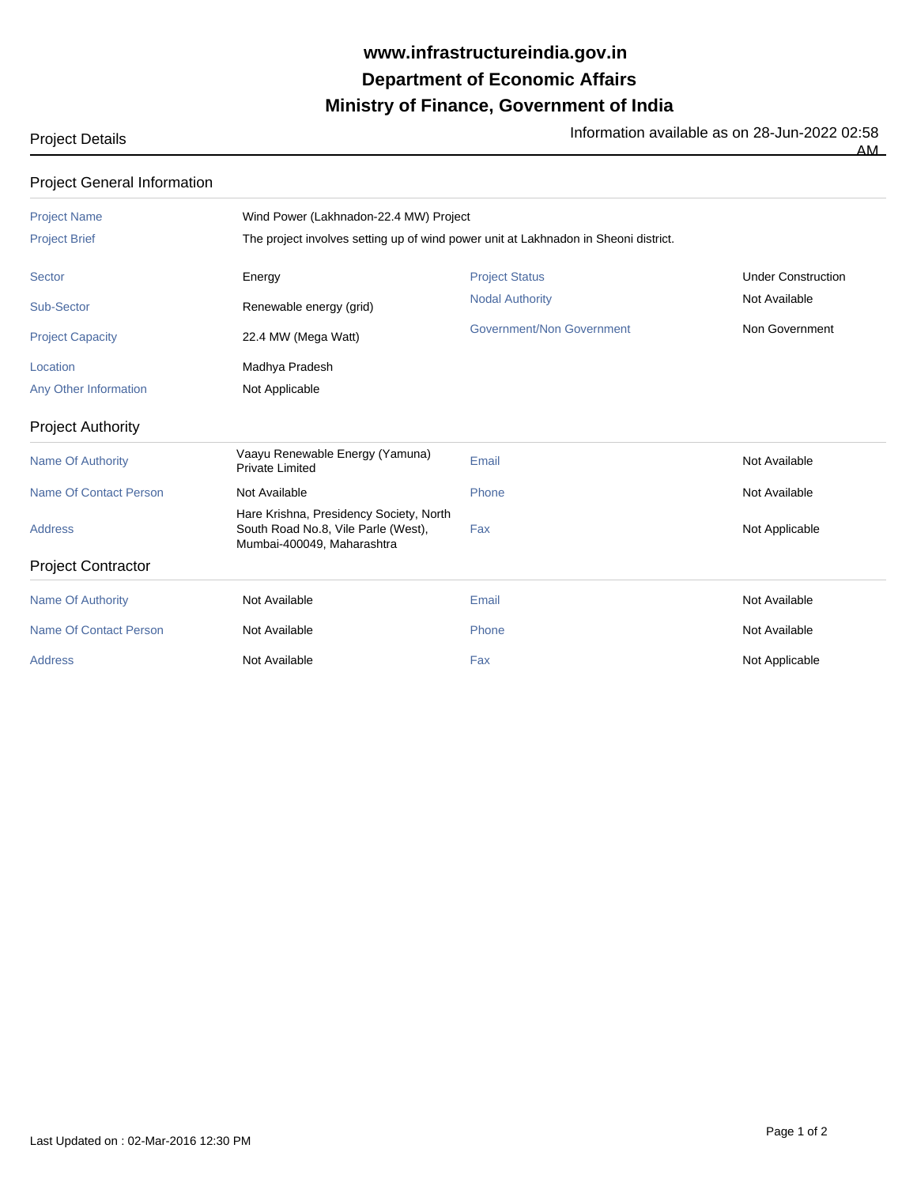## **Ministry of Finance, Government of India Department of Economic Affairs www.infrastructureindia.gov.in**

Project Details **Information available as on 28-Jun-2022 02:58** AM

| <b>Project General Information</b> |                                                                                                              |                           |                           |  |  |
|------------------------------------|--------------------------------------------------------------------------------------------------------------|---------------------------|---------------------------|--|--|
| <b>Project Name</b>                | Wind Power (Lakhnadon-22.4 MW) Project                                                                       |                           |                           |  |  |
| <b>Project Brief</b>               | The project involves setting up of wind power unit at Lakhnadon in Sheoni district.                          |                           |                           |  |  |
| <b>Sector</b>                      | Energy                                                                                                       | <b>Project Status</b>     | <b>Under Construction</b> |  |  |
| <b>Sub-Sector</b>                  | Renewable energy (grid)                                                                                      | <b>Nodal Authority</b>    | Not Available             |  |  |
| <b>Project Capacity</b>            | 22.4 MW (Mega Watt)                                                                                          | Government/Non Government | Non Government            |  |  |
| Location                           | Madhya Pradesh                                                                                               |                           |                           |  |  |
| Any Other Information              | Not Applicable                                                                                               |                           |                           |  |  |
| <b>Project Authority</b>           |                                                                                                              |                           |                           |  |  |
| <b>Name Of Authority</b>           | Vaayu Renewable Energy (Yamuna)<br><b>Private Limited</b>                                                    | Email                     | Not Available             |  |  |
| <b>Name Of Contact Person</b>      | Not Available                                                                                                | Phone                     | Not Available             |  |  |
| <b>Address</b>                     | Hare Krishna, Presidency Society, North<br>South Road No.8, Vile Parle (West),<br>Mumbai-400049, Maharashtra | Fax                       | Not Applicable            |  |  |
| <b>Project Contractor</b>          |                                                                                                              |                           |                           |  |  |
| <b>Name Of Authority</b>           | Not Available                                                                                                | Email                     | Not Available             |  |  |
| <b>Name Of Contact Person</b>      | Not Available                                                                                                | Phone                     | Not Available             |  |  |
| <b>Address</b>                     | Not Available                                                                                                | Fax                       | Not Applicable            |  |  |
|                                    |                                                                                                              |                           |                           |  |  |